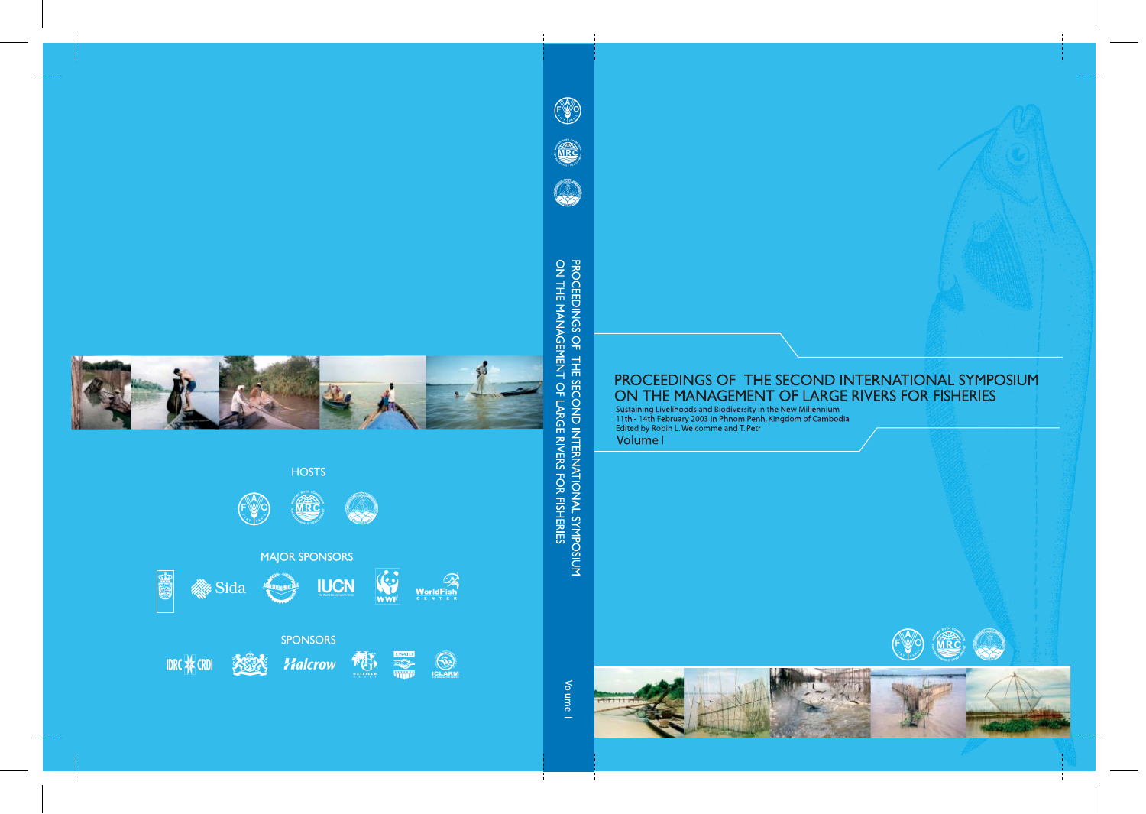## PROCEEDINGS OF THE SECOND INTERNATIONAL SYMPOSIUM ON THE MANAGEMENT OF LARGE RIVERS FOR FISHERIES

Sustaining Livelihoods and Biodiversity in the New Millennium<br>11th - 14th February 2003 in Phnom Penh, Kingdom of Cambodia<br>Edited by Robin L. Welcomme and T. Petr Volume I

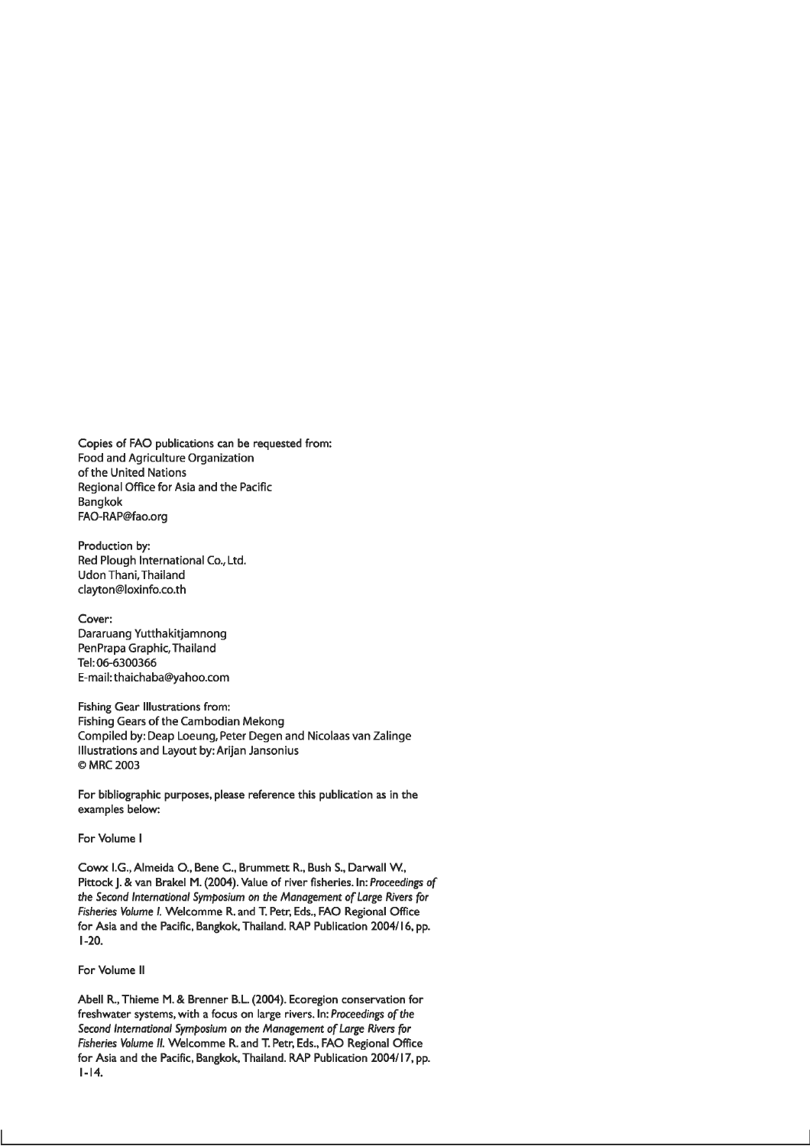Copies of FAO publications can be requested from: Food and Agriculture Organization of the United Nations Regional Office for Asia and the Pacific **Bangkok** FAO-RAP@fao.org

Production by: Red Plough International Co., Ltd. **Udon Thani, Thailand** clayton@loxinfo.co.th

Cover: Dararuang Yutthakitjamnong PenPrapa Graphic, Thailand Tel: 06-6300366 E-mail: thaichaba@yahoo.com

Fishing Gear Illustrations from: Fishing Gears of the Cambodian Mekong Compiled by: Deap Loeung, Peter Degen and Nicolaas van Zalinge Illustrations and Layout by: Arijan Jansonius © MRC 2003

For bibliographic purposes, please reference this publication as in the examples below:

#### For Volume I

Cowx I.G., Almeida O., Bene C., Brummett R., Bush S., Darwall W., Pittock J. & van Brakel M. (2004). Value of river fisheries. In: Proceedings of the Second International Symposium on the Management of Large Rivers for Fisheries Volume I. Welcomme R. and T. Petr, Eds., FAO Regional Office for Asia and the Pacific, Bangkok, Thailand. RAP Publication 2004/16, pp.  $1-20.$ 

#### For Volume II

Abell R., Thieme M. & Brenner B.L. (2004). Ecoregion conservation for freshwater systems, with a focus on large rivers. In: Proceedings of the Second International Symposium on the Management of Large Rivers for Fisheries Volume II. Welcomme R. and T. Petr, Eds., FAO Regional Office for Asia and the Pacific, Bangkok, Thailand. RAP Publication 2004/17, pp.  $1 - 14.$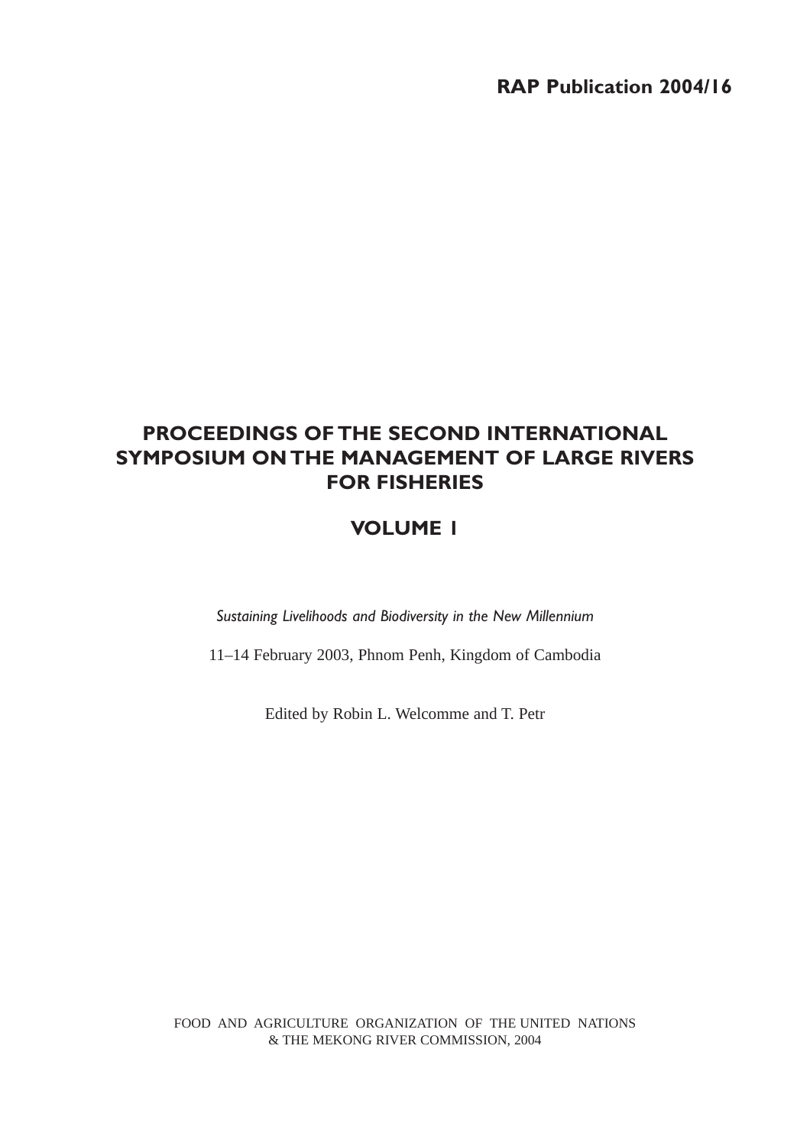## **PROCEEDINGS OF THE SECOND INTERNATIONAL SYMPOSIUM ON THE MANAGEMENT OF LARGE RIVERS FOR FISHERIES**

## **VOLUME 1**

*Sustaining Livelihoods and Biodiversity in the New Millennium*

11–14 February 2003, Phnom Penh, Kingdom of Cambodia

Edited by Robin L. Welcomme and T. Petr

FOOD AND AGRICULTURE ORGANIZATION OF THE UNITED NATIONS & THE MEKONG RIVER COMMISSION, 2004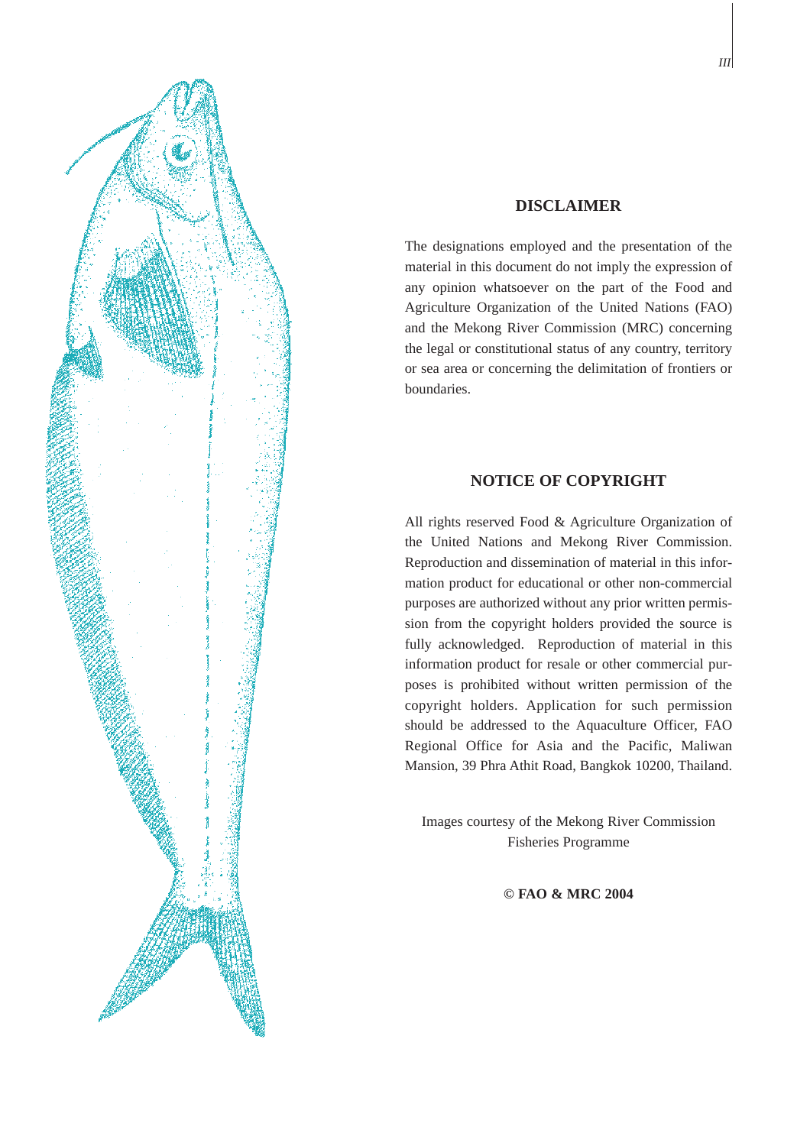

#### **DISCLAIMER**

The designations employed and the presentation of the material in this document do not imply the expression of any opinion whatsoever on the part of the Food and Agriculture Organization of the United Nations (FAO) and the Mekong River Commission (MRC) concerning the legal or constitutional status of any country, territory or sea area or concerning the delimitation of frontiers or boundaries.

#### **NOTICE OF COPYRIGHT**

All rights reserved Food & Agriculture Organization of the United Nations and Mekong River Commission. Reproduction and dissemination of material in this information product for educational or other non-commercial purposes are authorized without any prior written permission from the copyright holders provided the source is fully acknowledged. Reproduction of material in this information product for resale or other commercial purposes is prohibited without written permission of the copyright holders. Application for such permission should be addressed to the Aquaculture Officer, FAO Regional Office for Asia and the Pacific, Maliwan Mansion, 39 Phra Athit Road, Bangkok 10200, Thailand.

Images courtesy of the Mekong River Commission Fisheries Programme

**© FAO & MRC 2004**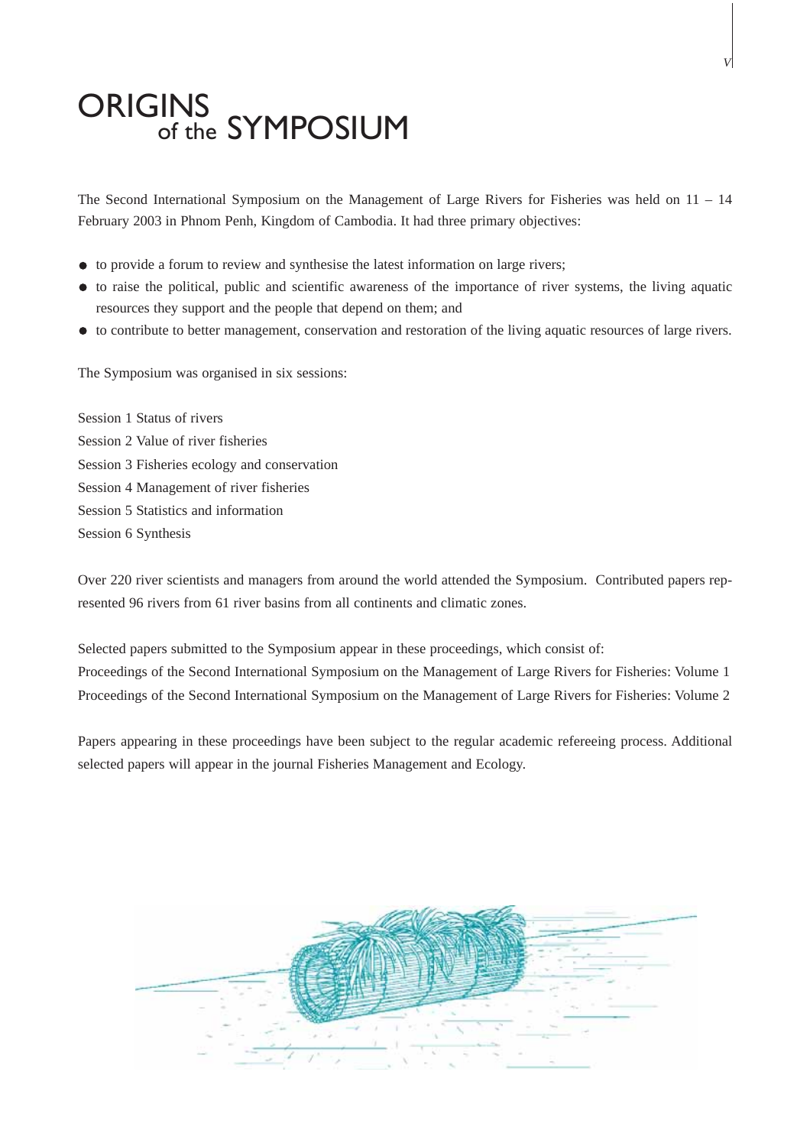## **ORIGINS** of the SYMPOSIUM

The Second International Symposium on the Management of Large Rivers for Fisheries was held on  $11 - 14$ February 2003 in Phnom Penh, Kingdom of Cambodia. It had three primary objectives:

- to provide a forum to review and synthesise the latest information on large rivers;
- to raise the political, public and scientific awareness of the importance of river systems, the living aquatic resources they support and the people that depend on them; and
- $\bullet$  to contribute to better management, conservation and restoration of the living aquatic resources of large rivers.

The Symposium was organised in six sessions:

Session 1 Status of rivers Session 2 Value of river fisheries Session 3 Fisheries ecology and conservation Session 4 Management of river fisheries Session 5 Statistics and information Session 6 Synthesis

Over 220 river scientists and managers from around the world attended the Symposium. Contributed papers represented 96 rivers from 61 river basins from all continents and climatic zones.

Selected papers submitted to the Symposium appear in these proceedings, which consist of: Proceedings of the Second International Symposium on the Management of Large Rivers for Fisheries: Volume 1 Proceedings of the Second International Symposium on the Management of Large Rivers for Fisheries: Volume 2

Papers appearing in these proceedings have been subject to the regular academic refereeing process. Additional selected papers will appear in the journal Fisheries Management and Ecology.



*V*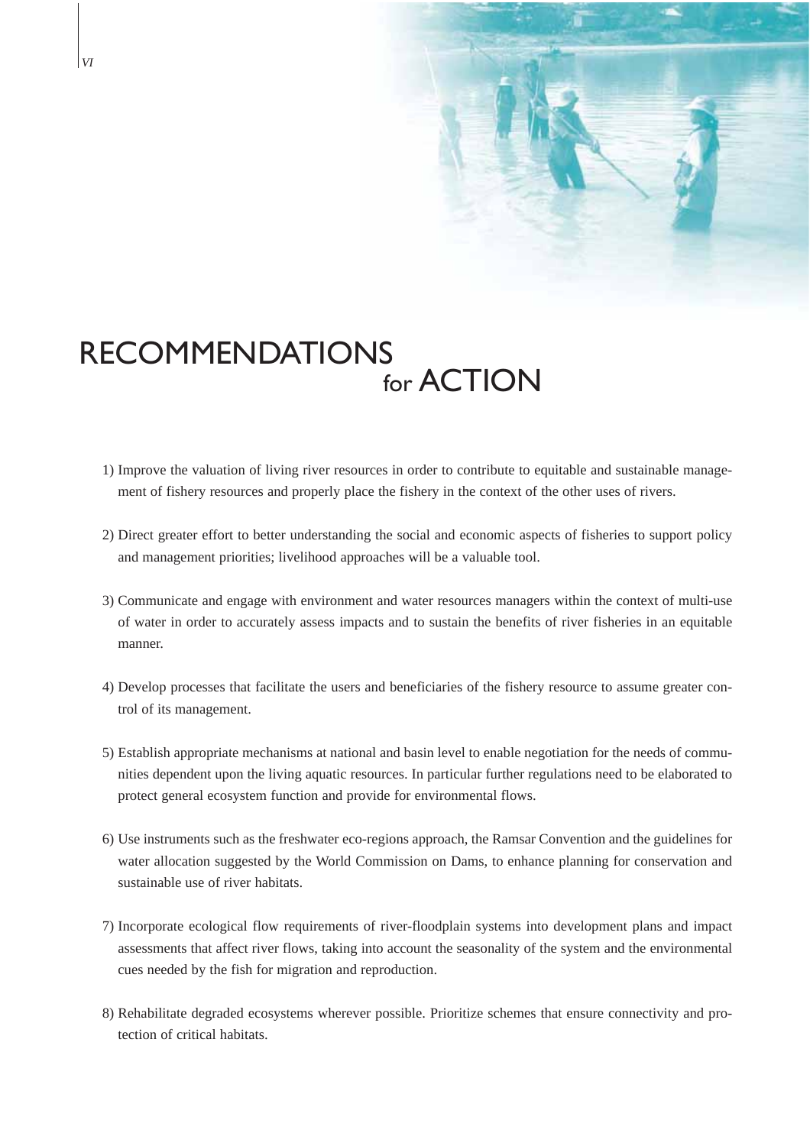

## RECOMMENDATIONS for **ACTION**

- 1) Improve the valuation of living river resources in order to contribute to equitable and sustainable management of fishery resources and properly place the fishery in the context of the other uses of rivers.
- 2) Direct greater effort to better understanding the social and economic aspects of fisheries to support policy and management priorities; livelihood approaches will be a valuable tool.
- 3) Communicate and engage with environment and water resources managers within the context of multi-use of water in order to accurately assess impacts and to sustain the benefits of river fisheries in an equitable manner.
- 4) Develop processes that facilitate the users and beneficiaries of the fishery resource to assume greater control of its management.
- 5) Establish appropriate mechanisms at national and basin level to enable negotiation for the needs of communities dependent upon the living aquatic resources. In particular further regulations need to be elaborated to protect general ecosystem function and provide for environmental flows.
- 6) Use instruments such as the freshwater eco-regions approach, the Ramsar Convention and the guidelines for water allocation suggested by the World Commission on Dams, to enhance planning for conservation and sustainable use of river habitats.
- 7) Incorporate ecological flow requirements of river-floodplain systems into development plans and impact assessments that affect river flows, taking into account the seasonality of the system and the environmental cues needed by the fish for migration and reproduction.
- 8) Rehabilitate degraded ecosystems wherever possible. Prioritize schemes that ensure connectivity and protection of critical habitats.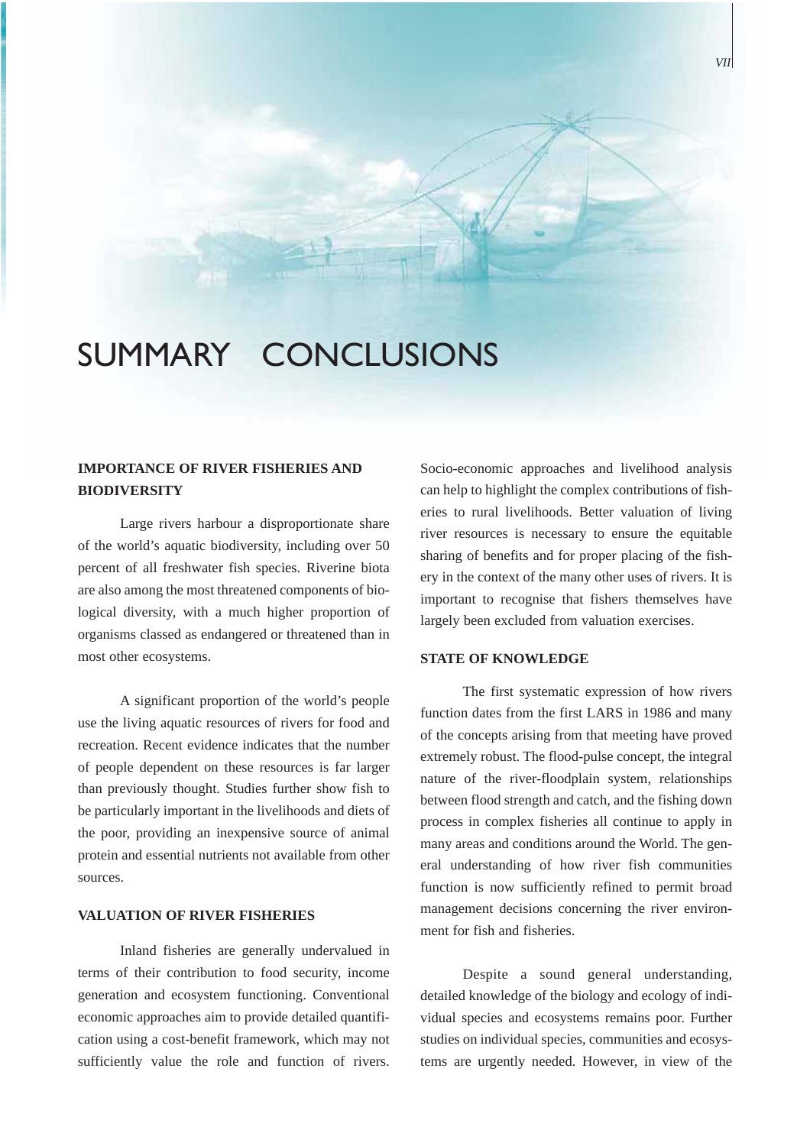## SUMMARY CONCLUSIONS

#### **IMPORTANCE OF RIVER FISHERIES AND BIODIVERSITY**

Large rivers harbour a disproportionate share of the world's aquatic biodiversity, including over 50 percent of all freshwater fish species. Riverine biota are also among the most threatened components of biological diversity, with a much higher proportion of organisms classed as endangered or threatened than in most other ecosystems.

A significant proportion of the world's people use the living aquatic resources of rivers for food and recreation. Recent evidence indicates that the number of people dependent on these resources is far larger than previously thought. Studies further show fish to be particularly important in the livelihoods and diets of the poor, providing an inexpensive source of animal protein and essential nutrients not available from other sources.

#### **VALUATION OF RIVER FISHERIES**

Inland fisheries are generally undervalued in terms of their contribution to food security, income generation and ecosystem functioning. Conventional economic approaches aim to provide detailed quantification using a cost-benefit framework, which may not sufficiently value the role and function of rivers.

Socio-economic approaches and livelihood analysis can help to highlight the complex contributions of fisheries to rural livelihoods. Better valuation of living river resources is necessary to ensure the equitable sharing of benefits and for proper placing of the fishery in the context of the many other uses of rivers. It is important to recognise that fishers themselves have largely been excluded from valuation exercises.

#### **STATE OF KNOWLEDGE**

The first systematic expression of how rivers function dates from the first LARS in 1986 and many of the concepts arising from that meeting have proved extremely robust. The flood-pulse concept, the integral nature of the river-floodplain system, relationships between flood strength and catch, and the fishing down process in complex fisheries all continue to apply in many areas and conditions around the World. The general understanding of how river fish communities function is now sufficiently refined to permit broad management decisions concerning the river environment for fish and fisheries.

Despite a sound general understanding, detailed knowledge of the biology and ecology of individual species and ecosystems remains poor. Further studies on individual species, communities and ecosystems are urgently needed. However, in view of the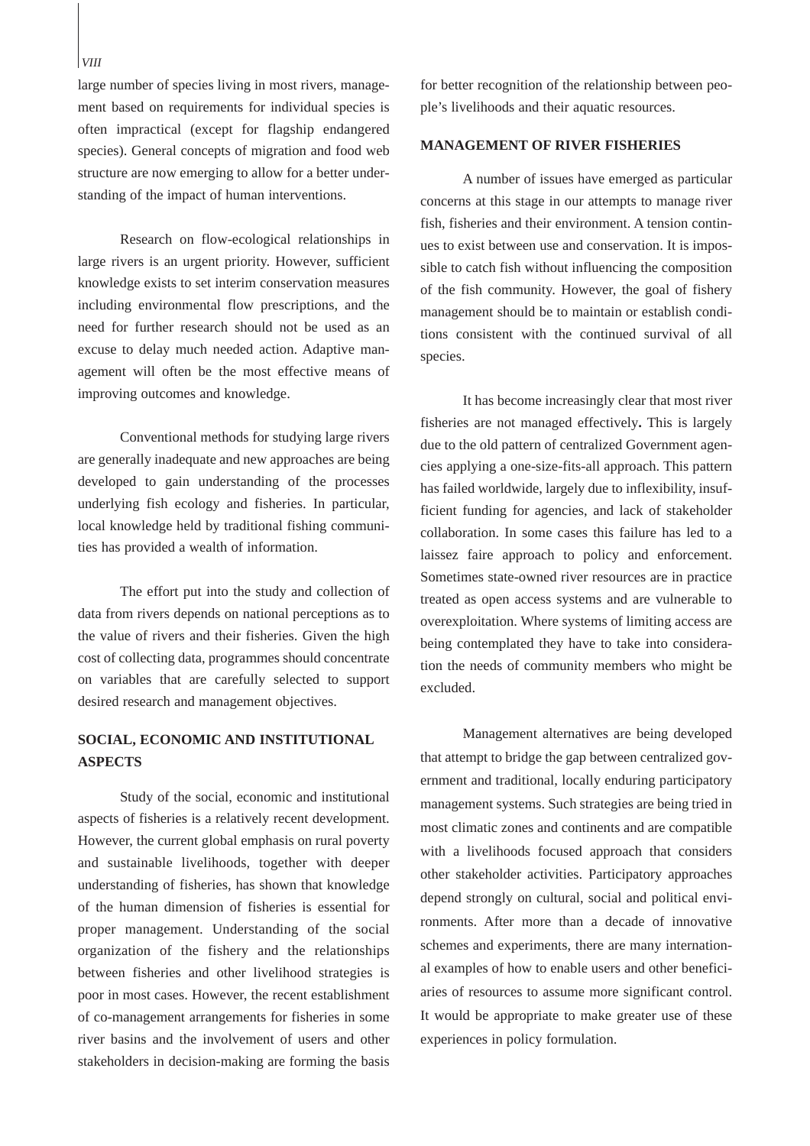#### *VIII*

large number of species living in most rivers, management based on requirements for individual species is often impractical (except for flagship endangered species). General concepts of migration and food web structure are now emerging to allow for a better understanding of the impact of human interventions.

Research on flow-ecological relationships in large rivers is an urgent priority. However, sufficient knowledge exists to set interim conservation measures including environmental flow prescriptions, and the need for further research should not be used as an excuse to delay much needed action. Adaptive management will often be the most effective means of improving outcomes and knowledge.

Conventional methods for studying large rivers are generally inadequate and new approaches are being developed to gain understanding of the processes underlying fish ecology and fisheries. In particular, local knowledge held by traditional fishing communities has provided a wealth of information.

The effort put into the study and collection of data from rivers depends on national perceptions as to the value of rivers and their fisheries. Given the high cost of collecting data, programmes should concentrate on variables that are carefully selected to support desired research and management objectives.

#### **SOCIAL, ECONOMIC AND INSTITUTIONAL ASPECTS**

Study of the social, economic and institutional aspects of fisheries is a relatively recent development. However, the current global emphasis on rural poverty and sustainable livelihoods, together with deeper understanding of fisheries, has shown that knowledge of the human dimension of fisheries is essential for proper management. Understanding of the social organization of the fishery and the relationships between fisheries and other livelihood strategies is poor in most cases. However, the recent establishment of co-management arrangements for fisheries in some river basins and the involvement of users and other stakeholders in decision-making are forming the basis

for better recognition of the relationship between people's livelihoods and their aquatic resources.

#### **MANAGEMENT OF RIVER FISHERIES**

A number of issues have emerged as particular concerns at this stage in our attempts to manage river fish, fisheries and their environment. A tension continues to exist between use and conservation. It is impossible to catch fish without influencing the composition of the fish community. However, the goal of fishery management should be to maintain or establish conditions consistent with the continued survival of all species.

It has become increasingly clear that most river fisheries are not managed effectively**.** This is largely due to the old pattern of centralized Government agencies applying a one-size-fits-all approach. This pattern has failed worldwide, largely due to inflexibility, insufficient funding for agencies, and lack of stakeholder collaboration. In some cases this failure has led to a laissez faire approach to policy and enforcement. Sometimes state-owned river resources are in practice treated as open access systems and are vulnerable to overexploitation. Where systems of limiting access are being contemplated they have to take into consideration the needs of community members who might be excluded.

Management alternatives are being developed that attempt to bridge the gap between centralized government and traditional, locally enduring participatory management systems. Such strategies are being tried in most climatic zones and continents and are compatible with a livelihoods focused approach that considers other stakeholder activities. Participatory approaches depend strongly on cultural, social and political environments. After more than a decade of innovative schemes and experiments, there are many international examples of how to enable users and other beneficiaries of resources to assume more significant control. It would be appropriate to make greater use of these experiences in policy formulation.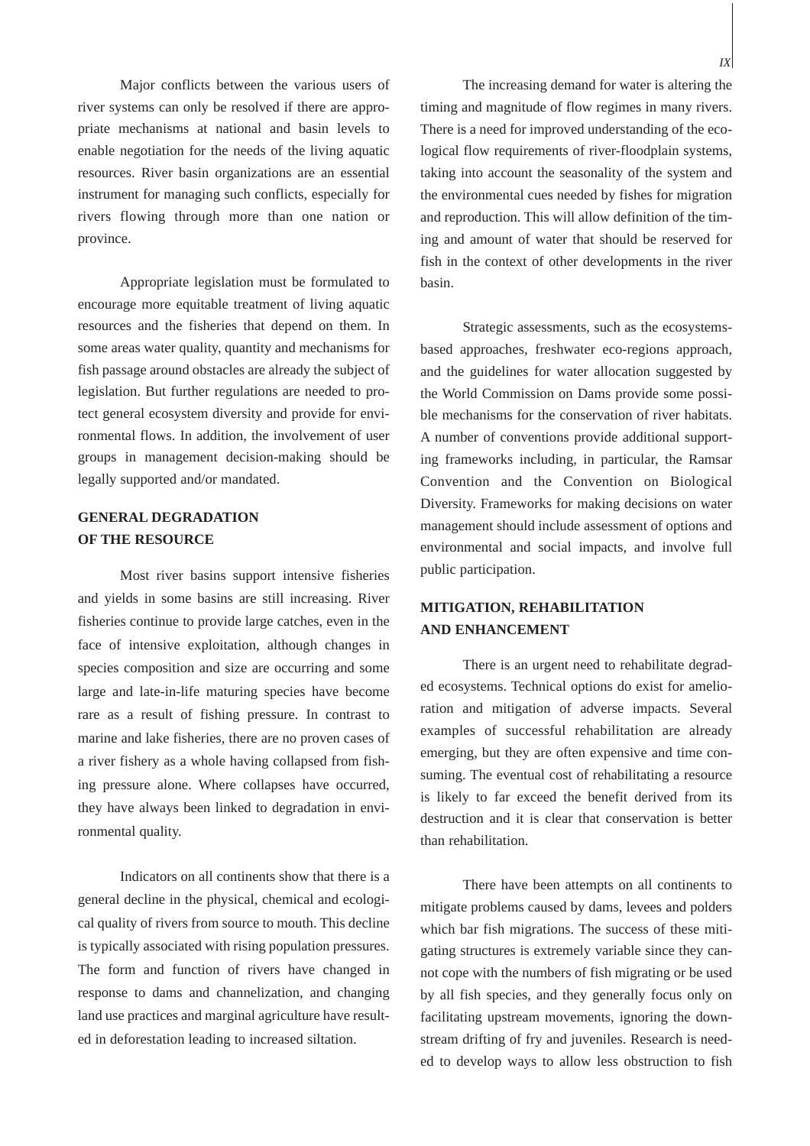Major conflicts between the various users of river systems can only be resolved if there are appropriate mechanisms at national and basin levels to enable negotiation for the needs of the living aquatic resources. River basin organizations are an essential instrument for managing such conflicts, especially for rivers flowing through more than one nation or province.

Appropriate legislation must be formulated to encourage more equitable treatment of living aquatic resources and the fisheries that depend on them. In some areas water quality, quantity and mechanisms for fish passage around obstacles are already the subject of legislation. But further regulations are needed to protect general ecosystem diversity and provide for environmental flows. In addition, the involvement of user groups in management decision-making should be legally supported and/or mandated.

#### **GENERAL DEGRADATION OF THE RESOURCE**

Most river basins support intensive fisheries and yields in some basins are still increasing. River fisheries continue to provide large catches, even in the face of intensive exploitation, although changes in species composition and size are occurring and some large and late-in-life maturing species have become rare as a result of fishing pressure. In contrast to marine and lake fisheries, there are no proven cases of a river fishery as a whole having collapsed from fishing pressure alone. Where collapses have occurred, they have always been linked to degradation in environmental quality.

Indicators on all continents show that there is a general decline in the physical, chemical and ecological quality of rivers from source to mouth. This decline is typically associated with rising population pressures. The form and function of rivers have changed in response to dams and channelization, and changing land use practices and marginal agriculture have resulted in deforestation leading to increased siltation.

The increasing demand for water is altering the timing and magnitude of flow regimes in many rivers. There is a need for improved understanding of the ecological flow requirements of river-floodplain systems, taking into account the seasonality of the system and the environmental cues needed by fishes for migration and reproduction. This will allow definition of the timing and amount of water that should be reserved for fish in the context of other developments in the river basin.

Strategic assessments, such as the ecosystemsbased approaches, freshwater eco-regions approach, and the guidelines for water allocation suggested by the World Commission on Dams provide some possible mechanisms for the conservation of river habitats. A number of conventions provide additional supporting frameworks including, in particular, the Ramsar Convention and the Convention on Biological Diversity. Frameworks for making decisions on water management should include assessment of options and environmental and social impacts, and involve full public participation.

### **MITIGATION, REHABILITATION AND ENHANCEMENT**

There is an urgent need to rehabilitate degraded ecosystems. Technical options do exist for amelioration and mitigation of adverse impacts. Several examples of successful rehabilitation are already emerging, but they are often expensive and time consuming. The eventual cost of rehabilitating a resource is likely to far exceed the benefit derived from its destruction and it is clear that conservation is better than rehabilitation.

There have been attempts on all continents to mitigate problems caused by dams, levees and polders which bar fish migrations. The success of these mitigating structures is extremely variable since they cannot cope with the numbers of fish migrating or be used by all fish species, and they generally focus only on facilitating upstream movements, ignoring the downstream drifting of fry and juveniles. Research is needed to develop ways to allow less obstruction to fish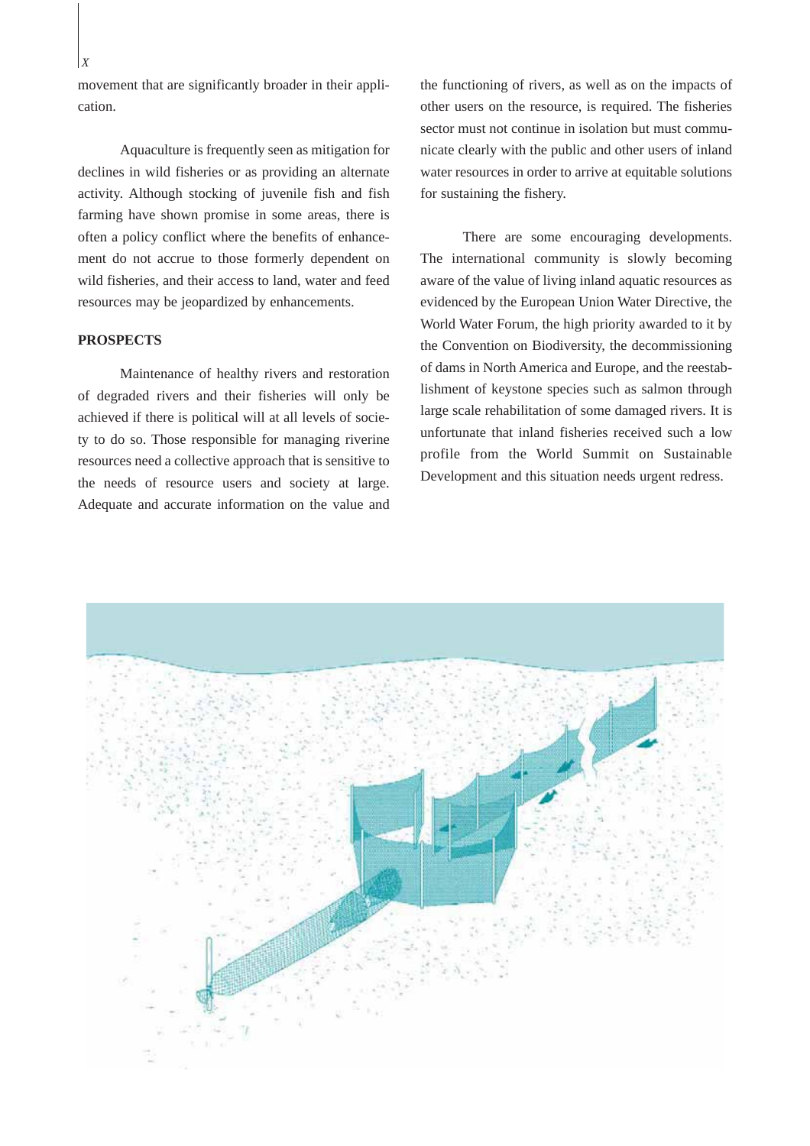movement that are significantly broader in their application.

Aquaculture is frequently seen as mitigation for declines in wild fisheries or as providing an alternate activity. Although stocking of juvenile fish and fish farming have shown promise in some areas, there is often a policy conflict where the benefits of enhancement do not accrue to those formerly dependent on wild fisheries, and their access to land, water and feed resources may be jeopardized by enhancements.

#### **PROSPECTS**

Maintenance of healthy rivers and restoration of degraded rivers and their fisheries will only be achieved if there is political will at all levels of society to do so. Those responsible for managing riverine resources need a collective approach that is sensitive to the needs of resource users and society at large. Adequate and accurate information on the value and

the functioning of rivers, as well as on the impacts of other users on the resource, is required. The fisheries sector must not continue in isolation but must communicate clearly with the public and other users of inland water resources in order to arrive at equitable solutions for sustaining the fishery.

There are some encouraging developments. The international community is slowly becoming aware of the value of living inland aquatic resources as evidenced by the European Union Water Directive, the World Water Forum, the high priority awarded to it by the Convention on Biodiversity, the decommissioning of dams in North America and Europe, and the reestablishment of keystone species such as salmon through large scale rehabilitation of some damaged rivers. It is unfortunate that inland fisheries received such a low profile from the World Summit on Sustainable Development and this situation needs urgent redress.